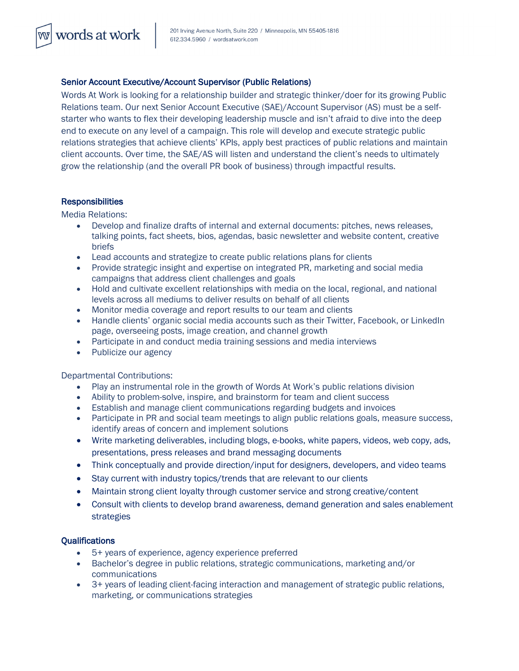## Senior Account Executive/Account Supervisor (Public Relations)

Words At Work is looking for a relationship builder and strategic thinker/doer for its growing Public Relations team. Our next Senior Account Executive (SAE)/Account Supervisor (AS) must be a selfstarter who wants to flex their developing leadership muscle and isn't afraid to dive into the deep end to execute on any level of a campaign. This role will develop and execute strategic public relations strategies that achieve clients' KPIs, apply best practices of public relations and maintain client accounts. Over time, the SAE/AS will listen and understand the client's needs to ultimately grow the relationship (and the overall PR book of business) through impactful results.

## **Responsibilities**

words at work

Media Relations:

- Develop and finalize drafts of internal and external documents: pitches, news releases, talking points, fact sheets, bios, agendas, basic newsletter and website content, creative briefs
- Lead accounts and strategize to create public relations plans for clients
- Provide strategic insight and expertise on integrated PR, marketing and social media campaigns that address client challenges and goals
- Hold and cultivate excellent relationships with media on the local, regional, and national levels across all mediums to deliver results on behalf of all clients
- Monitor media coverage and report results to our team and clients
- Handle clients' organic social media accounts such as their Twitter, Facebook, or LinkedIn page, overseeing posts, image creation, and channel growth
- Participate in and conduct media training sessions and media interviews
- Publicize our agency

Departmental Contributions:

- Play an instrumental role in the growth of Words At Work's public relations division
- Ability to problem-solve, inspire, and brainstorm for team and client success
- Establish and manage client communications regarding budgets and invoices
- Participate in PR and social team meetings to align public relations goals, measure success, identify areas of concern and implement solutions
- Write marketing deliverables, including blogs, e-books, white papers, videos, web copy, ads, presentations, press releases and brand messaging documents
- Think conceptually and provide direction/input for designers, developers, and video teams
- Stay current with industry topics/trends that are relevant to our clients
- Maintain strong client loyalty through customer service and strong creative/content
- Consult with clients to develop brand awareness, demand generation and sales enablement strategies

## **Qualifications**

- 5+ years of experience, agency experience preferred
- Bachelor's degree in public relations, strategic communications, marketing and/or communications
- 3+ years of leading client-facing interaction and management of strategic public relations, marketing, or communications strategies